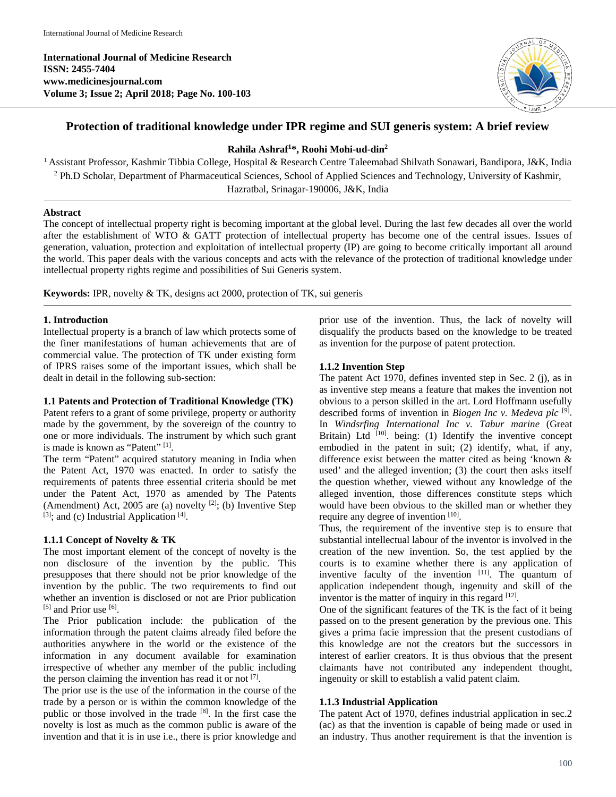**International Journal of Medicine Research ISSN: 2455-7404 www.medicinesjournal.com Volume 3; Issue 2; April 2018; Page No. 100-103**



# **Protection of traditional knowledge under IPR regime and SUI generis system: A brief review**

# **Rahila Ashraf1 \*, Roohi Mohi-ud-din2**

1 Assistant Professor, Kashmir Tibbia College, Hospital & Research Centre Taleemabad Shilvath Sonawari, Bandipora, J&K, India <sup>2</sup> Ph.D Scholar, Department of Pharmaceutical Sciences, School of Applied Sciences and Technology, University of Kashmir, Hazratbal, Srinagar-190006, J&K, India

### **Abstract**

The concept of intellectual property right is becoming important at the global level. During the last few decades all over the world after the establishment of WTO & GATT protection of intellectual property has become one of the central issues. Issues of generation, valuation, protection and exploitation of intellectual property (IP) are going to become critically important all around the world. This paper deals with the various concepts and acts with the relevance of the protection of traditional knowledge under intellectual property rights regime and possibilities of Sui Generis system.

**Keywords:** IPR, novelty & TK, designs act 2000, protection of TK, sui generis

# **1. Introduction**

Intellectual property is a branch of law which protects some of the finer manifestations of human achievements that are of commercial value. The protection of TK under existing form of IPRS raises some of the important issues, which shall be dealt in detail in the following sub-section:

# **1.1 Patents and Protection of Traditional Knowledge (TK)**

Patent refers to a grant of some privilege, property or authority made by the government, by the sovereign of the country to one or more individuals. The instrument by which such grant is made is known as "Patent" [1].

The term "Patent" acquired statutory meaning in India when the Patent Act, 1970 was enacted. In order to satisfy the requirements of patents three essential criteria should be met under the Patent Act, 1970 as amended by The Patents (Amendment) Act, 2005 are (a) novelty  $[2]$ ; (b) Inventive Step  $[3]$ ; and (c) Industrial Application  $[4]$ .

# **1.1.1 Concept of Novelty & TK**

The most important element of the concept of novelty is the non disclosure of the invention by the public. This presupposes that there should not be prior knowledge of the invention by the public. The two requirements to find out whether an invention is disclosed or not are Prior publication [5] and Prior use [6].

The Prior publication include: the publication of the information through the patent claims already filed before the authorities anywhere in the world or the existence of the information in any document available for examination irrespective of whether any member of the public including the person claiming the invention has read it or not  $[7]$ .

The prior use is the use of the information in the course of the trade by a person or is within the common knowledge of the public or those involved in the trade [8]. In the first case the novelty is lost as much as the common public is aware of the invention and that it is in use i.e., there is prior knowledge and prior use of the invention. Thus, the lack of novelty will disqualify the products based on the knowledge to be treated as invention for the purpose of patent protection.

# **1.1.2 Invention Step**

The patent Act 1970, defines invented step in Sec. 2 (j), as in as inventive step means a feature that makes the invention not obvious to a person skilled in the art. Lord Hoffmann usefully described forms of invention in *Biogen Inc v. Medeva plc* [9]. In *Windsrfing International Inc v. Tabur marine* (Great Britain) Ltd  $[10]$ . being: (1) Identify the inventive concept embodied in the patent in suit; (2) identify, what, if any, difference exist between the matter cited as being 'known & used' and the alleged invention; (3) the court then asks itself the question whether, viewed without any knowledge of the alleged invention, those differences constitute steps which would have been obvious to the skilled man or whether they require any degree of invention [10].

Thus, the requirement of the inventive step is to ensure that substantial intellectual labour of the inventor is involved in the creation of the new invention. So, the test applied by the courts is to examine whether there is any application of inventive faculty of the invention  $[11]$ . The quantum of application independent though, ingenuity and skill of the inventor is the matter of inquiry in this regard  $[12]$ .

One of the significant features of the TK is the fact of it being passed on to the present generation by the previous one. This gives a prima facie impression that the present custodians of this knowledge are not the creators but the successors in interest of earlier creators. It is thus obvious that the present claimants have not contributed any independent thought, ingenuity or skill to establish a valid patent claim.

# **1.1.3 Industrial Application**

The patent Act of 1970, defines industrial application in sec.2 (ac) as that the invention is capable of being made or used in an industry. Thus another requirement is that the invention is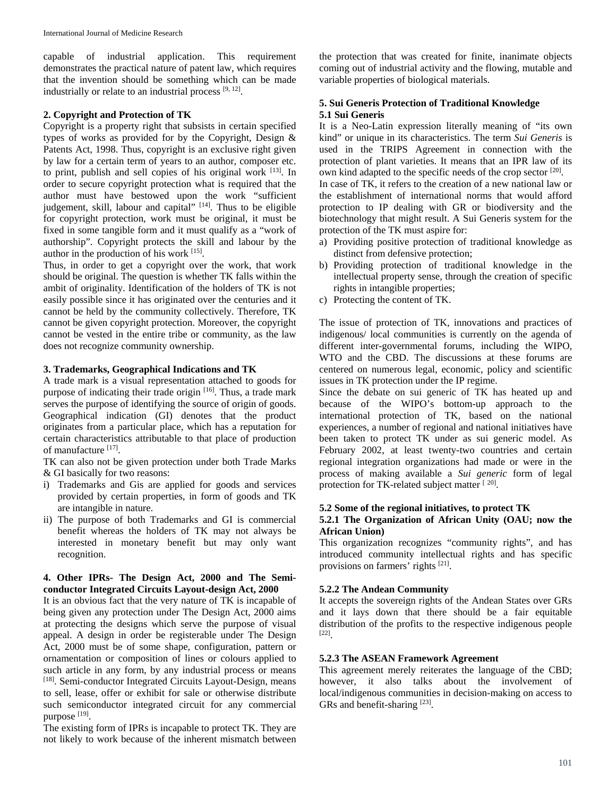capable of industrial application. This requirement demonstrates the practical nature of patent law, which requires that the invention should be something which can be made industrially or relate to an industrial process  $[9, 12]$ .

### **2. Copyright and Protection of TK**

Copyright is a property right that subsists in certain specified types of works as provided for by the Copyright, Design & Patents Act, 1998. Thus, copyright is an exclusive right given by law for a certain term of years to an author, composer etc. to print, publish and sell copies of his original work [13]. In order to secure copyright protection what is required that the author must have bestowed upon the work "sufficient judgement, skill, labour and capital" [14]. Thus to be eligible for copyright protection, work must be original, it must be fixed in some tangible form and it must qualify as a "work of authorship". Copyright protects the skill and labour by the author in the production of his work [15].

Thus, in order to get a copyright over the work, that work should be original. The question is whether TK falls within the ambit of originality. Identification of the holders of TK is not easily possible since it has originated over the centuries and it cannot be held by the community collectively. Therefore, TK cannot be given copyright protection. Moreover, the copyright cannot be vested in the entire tribe or community, as the law does not recognize community ownership.

#### **3. Trademarks, Geographical Indications and TK**

A trade mark is a visual representation attached to goods for purpose of indicating their trade origin [16]. Thus, a trade mark serves the purpose of identifying the source of origin of goods. Geographical indication (GI) denotes that the product originates from a particular place, which has a reputation for certain characteristics attributable to that place of production of manufacture [17].

TK can also not be given protection under both Trade Marks & GI basically for two reasons:

- i) Trademarks and Gis are applied for goods and services provided by certain properties, in form of goods and TK are intangible in nature.
- ii) The purpose of both Trademarks and GI is commercial benefit whereas the holders of TK may not always be interested in monetary benefit but may only want recognition.

### **4. Other IPRs- The Design Act, 2000 and The Semiconductor Integrated Circuits Layout-design Act, 2000**

It is an obvious fact that the very nature of TK is incapable of being given any protection under The Design Act, 2000 aims at protecting the designs which serve the purpose of visual appeal. A design in order be registerable under The Design Act, 2000 must be of some shape, configuration, pattern or ornamentation or composition of lines or colours applied to such article in any form, by any industrial process or means [18]. Semi-conductor Integrated Circuits Layout-Design, means to sell, lease, offer or exhibit for sale or otherwise distribute such semiconductor integrated circuit for any commercial purpose [19].

The existing form of IPRs is incapable to protect TK. They are not likely to work because of the inherent mismatch between

the protection that was created for finite, inanimate objects coming out of industrial activity and the flowing, mutable and variable properties of biological materials.

### **5. Sui Generis Protection of Traditional Knowledge 5.1 Sui Generis**

It is a Neo-Latin expression literally meaning of "its own kind" or unique in its characteristics. The term *Sui Generis* is used in the TRIPS Agreement in connection with the protection of plant varieties. It means that an IPR law of its own kind adapted to the specific needs of the crop sector [20].

In case of TK, it refers to the creation of a new national law or the establishment of international norms that would afford protection to IP dealing with GR or biodiversity and the biotechnology that might result. A Sui Generis system for the protection of the TK must aspire for:

- a) Providing positive protection of traditional knowledge as distinct from defensive protection;
- b) Providing protection of traditional knowledge in the intellectual property sense, through the creation of specific rights in intangible properties;
- c) Protecting the content of TK.

The issue of protection of TK, innovations and practices of indigenous/ local communities is currently on the agenda of different inter-governmental forums, including the WIPO, WTO and the CBD. The discussions at these forums are centered on numerous legal, economic, policy and scientific issues in TK protection under the IP regime.

Since the debate on sui generic of TK has heated up and because of the WIPO's bottom-up approach to the international protection of TK, based on the national experiences, a number of regional and national initiatives have been taken to protect TK under as sui generic model. As February 2002, at least twenty-two countries and certain regional integration organizations had made or were in the process of making available a *Sui generic* form of legal protection for TK-related subject matter  $[20]$ .

### **5.2 Some of the regional initiatives, to protect TK**

#### **5.2.1 The Organization of African Unity (OAU; now the African Union)**

This organization recognizes "community rights", and has introduced community intellectual rights and has specific provisions on farmers' rights [21].

#### **5.2.2 The Andean Community**

It accepts the sovereign rights of the Andean States over GRs and it lays down that there should be a fair equitable distribution of the profits to the respective indigenous people [22].

#### **5.2.3 The ASEAN Framework Agreement**

This agreement merely reiterates the language of the CBD; however, it also talks about the involvement of local/indigenous communities in decision-making on access to GRs and benefit-sharing [23].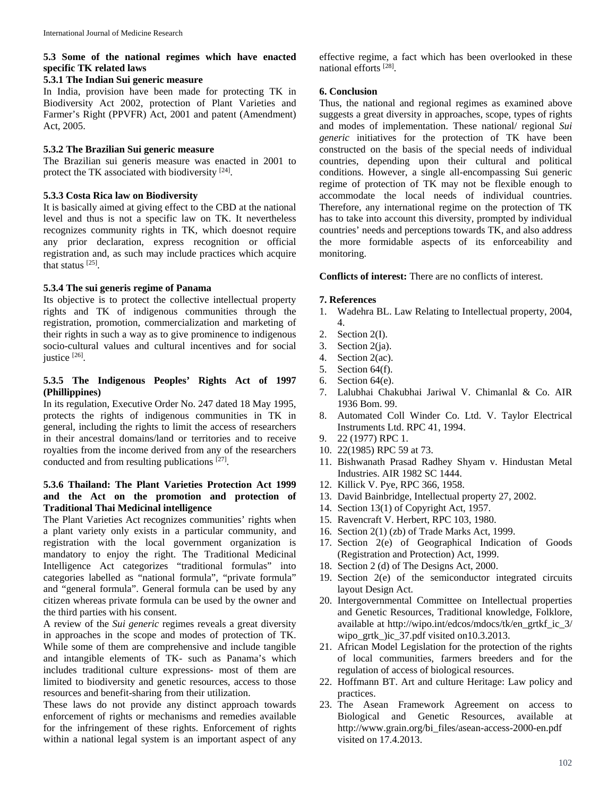# **5.3 Some of the national regimes which have enacted specific TK related laws**

#### **5.3.1 The Indian Sui generic measure**

In India, provision have been made for protecting TK in Biodiversity Act 2002, protection of Plant Varieties and Farmer's Right (PPVFR) Act, 2001 and patent (Amendment) Act, 2005.

### **5.3.2 The Brazilian Sui generic measure**

The Brazilian sui generis measure was enacted in 2001 to protect the TK associated with biodiversity <sup>[24]</sup>.

#### **5.3.3 Costa Rica law on Biodiversity**

It is basically aimed at giving effect to the CBD at the national level and thus is not a specific law on TK. It nevertheless recognizes community rights in TK, which doesnot require any prior declaration, express recognition or official registration and, as such may include practices which acquire that status [25].

#### **5.3.4 The sui generis regime of Panama**

Its objective is to protect the collective intellectual property rights and TK of indigenous communities through the registration, promotion, commercialization and marketing of their rights in such a way as to give prominence to indigenous socio-cultural values and cultural incentives and for social justice [26].

### **5.3.5 The Indigenous Peoples' Rights Act of 1997 (Phillippines)**

In its regulation, Executive Order No. 247 dated 18 May 1995, protects the rights of indigenous communities in TK in general, including the rights to limit the access of researchers in their ancestral domains/land or territories and to receive royalties from the income derived from any of the researchers conducted and from resulting publications  $^{[27]}$ .

# **5.3.6 Thailand: The Plant Varieties Protection Act 1999 and the Act on the promotion and protection of Traditional Thai Medicinal intelligence**

The Plant Varieties Act recognizes communities' rights when a plant variety only exists in a particular community, and registration with the local government organization is mandatory to enjoy the right. The Traditional Medicinal Intelligence Act categorizes "traditional formulas" into categories labelled as "national formula", "private formula" and "general formula". General formula can be used by any citizen whereas private formula can be used by the owner and the third parties with his consent.

A review of the *Sui generic* regimes reveals a great diversity in approaches in the scope and modes of protection of TK. While some of them are comprehensive and include tangible and intangible elements of TK- such as Panama's which includes traditional culture expressions- most of them are limited to biodiversity and genetic resources, access to those resources and benefit-sharing from their utilization.

These laws do not provide any distinct approach towards enforcement of rights or mechanisms and remedies available for the infringement of these rights. Enforcement of rights within a national legal system is an important aspect of any

effective regime, a fact which has been overlooked in these national efforts [28].

### **6. Conclusion**

Thus, the national and regional regimes as examined above suggests a great diversity in approaches, scope, types of rights and modes of implementation. These national/ regional *Sui generic* initiatives for the protection of TK have been constructed on the basis of the special needs of individual countries, depending upon their cultural and political conditions. However, a single all-encompassing Sui generic regime of protection of TK may not be flexible enough to accommodate the local needs of individual countries. Therefore, any international regime on the protection of TK has to take into account this diversity, prompted by individual countries' needs and perceptions towards TK, and also address the more formidable aspects of its enforceability and monitoring.

**Conflicts of interest:** There are no conflicts of interest.

#### **7. References**

- 1. Wadehra BL. Law Relating to Intellectual property, 2004, 4.
- 2. Section 2(I).
- 3. Section 2(ja).
- 4. Section 2(ac).
- 5. Section 64(f).
- 6. Section 64(e).
- 7. Lalubhai Chakubhai Jariwal V. Chimanlal & Co. AIR 1936 Bom. 99.
- 8. Automated Coll Winder Co. Ltd. V. Taylor Electrical Instruments Ltd. RPC 41, 1994.
- 9. 22 (1977) RPC 1.
- 10. 22(1985) RPC 59 at 73.
- 11. Bishwanath Prasad Radhey Shyam v. Hindustan Metal Industries. AIR 1982 SC 1444.
- 12. Killick V. Pye, RPC 366, 1958.
- 13. David Bainbridge, Intellectual property 27, 2002.
- 14. Section 13(1) of Copyright Act, 1957.
- 15. Ravencraft V. Herbert, RPC 103, 1980.
- 16. Section 2(1) (zb) of Trade Marks Act, 1999.
- 17. Section 2(e) of Geographical Indication of Goods (Registration and Protection) Act, 1999.
- 18. Section 2 (d) of The Designs Act, 2000.
- 19. Section 2(e) of the semiconductor integrated circuits layout Design Act.
- 20. Intergovernmental Committee on Intellectual properties and Genetic Resources, Traditional knowledge, Folklore, available at http://wipo.int/edcos/mdocs/tk/en\_grtkf\_ic\_3/ wipo\_grtk\_)ic\_37.pdf visited on10.3.2013.
- 21. African Model Legislation for the protection of the rights of local communities, farmers breeders and for the regulation of access of biological resources.
- 22. Hoffmann BT. Art and culture Heritage: Law policy and practices.
- 23. The Asean Framework Agreement on access to Biological and Genetic Resources, available at http://www.grain.org/bi\_files/asean-access-2000-en.pdf visited on 17.4.2013.